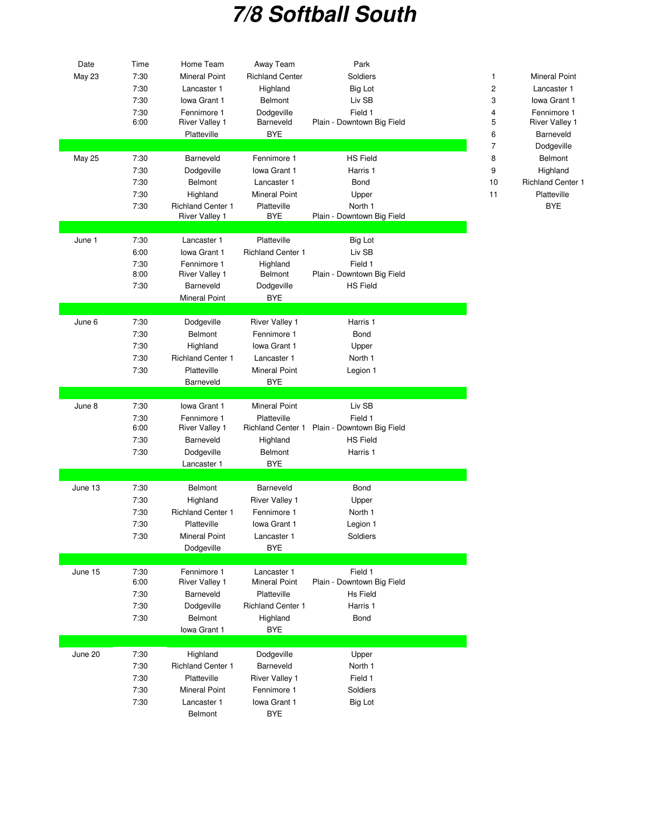## **7/8 Softball South**

| Date          | Time         | Home Team                | Away Team                | Park                       |                                      |
|---------------|--------------|--------------------------|--------------------------|----------------------------|--------------------------------------|
| <b>May 23</b> | 7:30         | <b>Mineral Point</b>     | <b>Richland Center</b>   | Soldiers                   | $\mathbf{1}$<br><b>Mineral Point</b> |
|               | 7:30         | Lancaster 1              | Highland                 | <b>Big Lot</b>             | $\sqrt{2}$<br>Lancaster 1            |
|               | 7:30         | Iowa Grant 1             | <b>Belmont</b>           | Liv SB                     | 3<br>Iowa Grant 1                    |
|               | 7:30         | Fennimore 1              | Dodgeville               | Field 1                    | $\overline{4}$<br>Fennimore 1        |
|               | 6:00         | <b>River Valley 1</b>    | Barneveld                | Plain - Downtown Big Field | 5<br><b>River Valley 1</b>           |
|               |              | Platteville              | <b>BYE</b>               |                            | 6<br>Barneveld                       |
|               |              |                          |                          |                            | $\overline{7}$<br>Dodgeville         |
| <b>May 25</b> | 7:30         | Barneveld                | Fennimore 1              | <b>HS Field</b>            | 8<br>Belmont                         |
|               |              |                          |                          |                            |                                      |
|               | 7:30         | Dodgeville               | Iowa Grant 1             | Harris 1                   | 9<br>Highland                        |
|               | 7:30         | Belmont                  | Lancaster 1              | Bond                       | <b>Richland Center 1</b><br>10       |
|               | 7:30         | Highland                 | <b>Mineral Point</b>     | Upper                      | Platteville<br>11                    |
|               | 7:30         | <b>Richland Center 1</b> | Platteville              | North 1                    | <b>BYE</b>                           |
|               |              | <b>River Valley 1</b>    | BYE                      | Plain - Downtown Big Field |                                      |
|               |              |                          |                          |                            |                                      |
| June 1        | 7:30         | Lancaster 1              | Platteville              | <b>Big Lot</b>             |                                      |
|               | 6:00         | Iowa Grant 1             | <b>Richland Center 1</b> | Liv SB                     |                                      |
|               | 7:30         | Fennimore 1              | Highland                 | Field 1                    |                                      |
|               | 8:00         | <b>River Valley 1</b>    | <b>Belmont</b>           | Plain - Downtown Big Field |                                      |
|               | 7:30         | Barneveld                | Dodgeville               | <b>HS Field</b>            |                                      |
|               |              | <b>Mineral Point</b>     | <b>BYE</b>               |                            |                                      |
|               |              |                          |                          |                            |                                      |
| June 6        | 7:30         | Dodgeville               | <b>River Valley 1</b>    | Harris 1                   |                                      |
|               | 7:30         | Belmont                  | Fennimore 1              | Bond                       |                                      |
|               | 7:30         | Highland                 | Iowa Grant 1             | Upper                      |                                      |
|               | 7:30         | <b>Richland Center 1</b> | Lancaster 1              | North 1                    |                                      |
|               | 7:30         | Platteville              | <b>Mineral Point</b>     |                            |                                      |
|               |              |                          |                          | Legion 1                   |                                      |
|               |              | Barneveld                | <b>BYE</b>               |                            |                                      |
|               |              |                          |                          |                            |                                      |
| June 8        | 7:30         | Iowa Grant 1             | <b>Mineral Point</b>     | Liv SB                     |                                      |
|               | 7:30<br>6:00 | Fennimore 1              | Platteville              | Field 1                    |                                      |
|               |              | <b>River Valley 1</b>    | <b>Richland Center 1</b> | Plain - Downtown Big Field |                                      |
|               | 7:30         | Barneveld                | Highland                 | <b>HS Field</b>            |                                      |
|               | 7:30         | Dodgeville               | Belmont                  | Harris 1                   |                                      |
|               |              | Lancaster 1              | <b>BYE</b>               |                            |                                      |
|               |              |                          |                          |                            |                                      |
| June 13       | 7:30         | Belmont                  | Barneveld                | Bond                       |                                      |
|               | 7:30         | Highland                 | River Valley 1           | Upper                      |                                      |
|               | 7:30         | <b>Richland Center 1</b> | Fennimore 1              | North 1                    |                                      |
|               | 7:30         | Platteville              | Iowa Grant 1             | Legion 1                   |                                      |
|               | 7:30         | <b>Mineral Point</b>     | Lancaster 1              | Soldiers                   |                                      |
|               |              | Dodgeville               | <b>BYE</b>               |                            |                                      |
|               |              |                          |                          |                            |                                      |
| June 15       | 7:30         | Fennimore 1              | Lancaster 1              | Field 1                    |                                      |
|               | 6:00         | <b>River Valley 1</b>    | Mineral Point            | Plain - Downtown Big Field |                                      |
|               | 7:30         | Barneveld                | Platteville              | Hs Field                   |                                      |
|               | 7:30         | Dodgeville               | <b>Richland Center 1</b> | Harris 1                   |                                      |
|               | 7:30         | Belmont                  | Highland                 | Bond                       |                                      |
|               |              | Iowa Grant 1             | <b>BYE</b>               |                            |                                      |
|               |              |                          |                          |                            |                                      |
| June 20       | 7:30         | Highland                 | Dodgeville               | Upper                      |                                      |
|               |              | <b>Richland Center 1</b> | Barneveld                | North 1                    |                                      |
|               | 7:30         |                          |                          |                            |                                      |
|               | 7:30         | Platteville              | <b>River Valley 1</b>    | Field 1                    |                                      |
|               | 7:30         | <b>Mineral Point</b>     | Fennimore 1              | Soldiers                   |                                      |
|               | 7:30         | Lancaster 1              | Iowa Grant 1             | <b>Big Lot</b>             |                                      |
|               |              | Belmont                  | <b>BYE</b>               |                            |                                      |